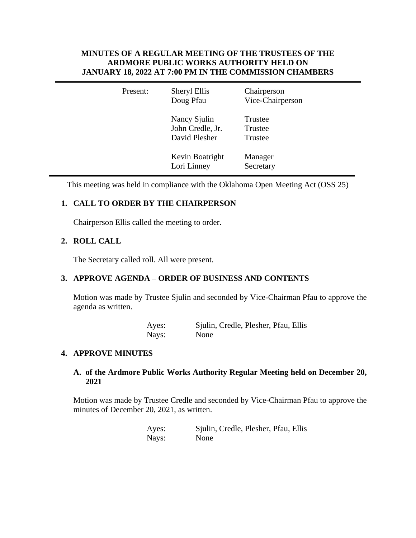## **MINUTES OF A REGULAR MEETING OF THE TRUSTEES OF THE ARDMORE PUBLIC WORKS AUTHORITY HELD ON JANUARY 18, 2022 AT 7:00 PM IN THE COMMISSION CHAMBERS**

| Present: | Sheryl Ellis<br>Doug Pfau                         | Chairperson<br>Vice-Chairperson |
|----------|---------------------------------------------------|---------------------------------|
|          | Nancy Sjulin<br>John Credle, Jr.<br>David Plesher | Trustee<br>Trustee<br>Trustee   |
|          | Kevin Boatright<br>Lori Linney                    | Manager<br>Secretary            |

This meeting was held in compliance with the Oklahoma Open Meeting Act (OSS 25)

# **1. CALL TO ORDER BY THE CHAIRPERSON**

Chairperson Ellis called the meeting to order.

## **2. ROLL CALL**

The Secretary called roll. All were present.

### **3. APPROVE AGENDA – ORDER OF BUSINESS AND CONTENTS**

Motion was made by Trustee Sjulin and seconded by Vice-Chairman Pfau to approve the agenda as written.

| Ayes: | Sjulin, Credle, Plesher, Pfau, Ellis |
|-------|--------------------------------------|
| Nays: | None                                 |

### **4. APPROVE MINUTES**

### **A. of the Ardmore Public Works Authority Regular Meeting held on December 20, 2021**

Motion was made by Trustee Credle and seconded by Vice-Chairman Pfau to approve the minutes of December 20, 2021, as written.

> Ayes: Sjulin, Credle, Plesher, Pfau, Ellis Nays: None